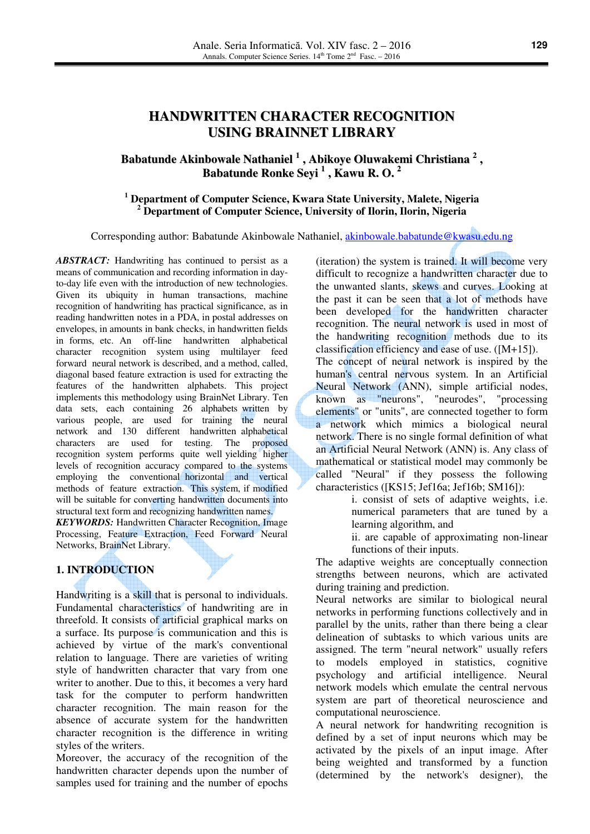# **HANDWRITTEN CHARACTER RECOGNITION USING BRAINNET LIBRARY**

# **Babatunde Akinbowale Nathaniel 1 , Abikoye Oluwakemi Christiana 2 , Babatunde Ronke Seyi 1 , Kawu R. O. 2**

### **1 Department of Computer Science, Kwara State University, Malete, Nigeria 2 Department of Computer Science, University of Ilorin, Ilorin, Nigeria**

Corresponding author: Babatunde Akinbowale Nathaniel, akinbowale.babatunde@kwasu.edu.ng

*ABSTRACT:* Handwriting has continued to persist as a means of communication and recording information in dayto-day life even with the introduction of new technologies. Given its ubiquity in human transactions, machine recognition of handwriting has practical significance, as in reading handwritten notes in a PDA, in postal addresses on envelopes, in amounts in bank checks, in handwritten fields in forms, etc. An off-line handwritten alphabetical character recognition system using multilayer feed forward neural network is described, and a method, called, diagonal based feature extraction is used for extracting the features of the handwritten alphabets. This project implements this methodology using BrainNet Library. Ten data sets, each containing 26 alphabets written by various people, are used for training the neural network and 130 different handwritten alphabetical characters are used for testing. The proposed recognition system performs quite well yielding higher levels of recognition accuracy compared to the systems employing the conventional horizontal and vertical methods of feature extraction. This system, if modified will be suitable for converting handwritten documents into structural text form and recognizing handwritten names. *KEYWORDS:* Handwritten Character Recognition, Image

Processing, Feature Extraction, Feed Forward Neural Networks, BrainNet Library.

### **1. INTRODUCTION**

Handwriting is a skill that is personal to individuals. Fundamental characteristics of handwriting are in threefold. It consists of artificial graphical marks on a surface. Its purpose is communication and this is achieved by virtue of the mark's conventional relation to language. There are varieties of writing style of handwritten character that vary from one writer to another. Due to this, it becomes a very hard task for the computer to perform handwritten character recognition. The main reason for the absence of accurate system for the handwritten character recognition is the difference in writing styles of the writers.

Moreover, the accuracy of the recognition of the handwritten character depends upon the number of samples used for training and the number of epochs

(iteration) the system is trained. It will become very difficult to recognize a handwritten character due to the unwanted slants, skews and curves. Looking at the past it can be seen that a lot of methods have been developed for the handwritten character recognition. The neural network is used in most of the handwriting recognition methods due to its classification efficiency and ease of use. ([M+15]). The concept of neural network is inspired by the human's central nervous system. In an Artificial Neural Network (ANN), simple artificial nodes,

known as "neurons", "neurodes", "processing elements" or "units", are connected together to form a network which mimics a biological neural network. There is no single formal definition of what an Artificial Neural Network (ANN) is. Any class of mathematical or statistical model may commonly be called "Neural" if they possess the following characteristics ([KS15; Jef16a; Jef16b; SM16]):

> i. consist of sets of adaptive weights, i.e. numerical parameters that are tuned by a learning algorithm, and

ii. are capable of approximating non-linear functions of their inputs.

The adaptive weights are conceptually connection strengths between neurons, which are activated during training and prediction.

Neural networks are similar to biological neural networks in performing functions collectively and in parallel by the units, rather than there being a clear delineation of subtasks to which various units are assigned. The term "neural network" usually refers to models employed in statistics, cognitive psychology and artificial intelligence. Neural network models which emulate the central nervous system are part of theoretical neuroscience and computational neuroscience.

A neural network for handwriting recognition is defined by a set of input neurons which may be activated by the pixels of an input image. After being weighted and transformed by a function (determined by the network's designer), the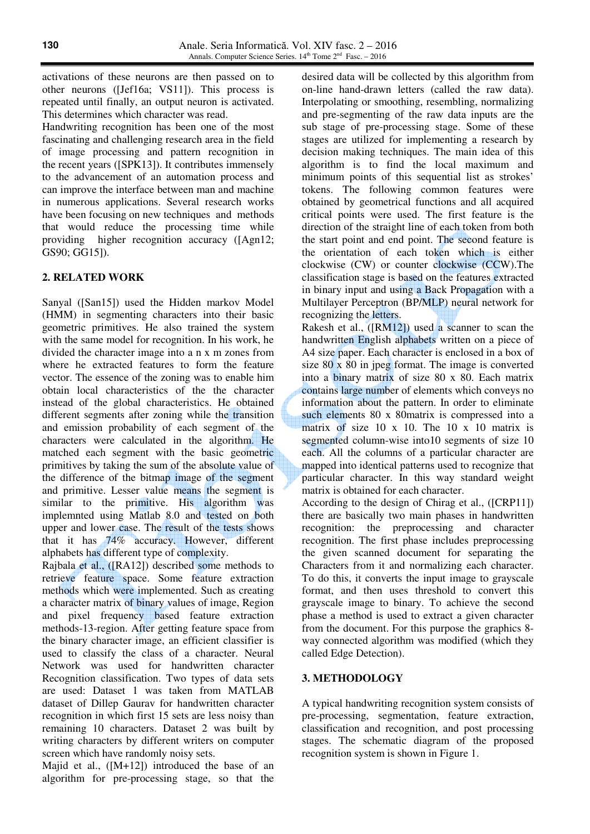activations of these neurons are then passed on to other neurons ([Jef16a; VS11]). This process is repeated until finally, an output neuron is activated. This determines which character was read.

Handwriting recognition has been one of the most fascinating and challenging research area in the field of image processing and pattern recognition in the recent years ([SPK13]). It contributes immensely to the advancement of an automation process and can improve the interface between man and machine in numerous applications. Several research works have been focusing on new techniques and methods that would reduce the processing time while providing higher recognition accuracy ([Agn12; GS90; GG15]).

#### **2. RELATED WORK**

Sanyal ([San15]) used the Hidden markov Model (HMM) in segmenting characters into their basic geometric primitives. He also trained the system with the same model for recognition. In his work, he divided the character image into a n x m zones from where he extracted features to form the feature vector. The essence of the zoning was to enable him obtain local characteristics of the the character instead of the global characteristics. He obtained different segments after zoning while the transition and emission probability of each segment of the characters were calculated in the algorithm. He matched each segment with the basic geometric primitives by taking the sum of the absolute value of the difference of the bitmap image of the segment and primitive. Lesser value means the segment is similar to the primitive. His algorithm was implemnted using Matlab 8.0 and tested on both upper and lower case. The result of the tests shows that it has 74% accuracy. However, different alphabets has different type of complexity.

Rajbala et al., ([RA12]) described some methods to retrieve feature space. Some feature extraction methods which were implemented. Such as creating a character matrix of binary values of image, Region and pixel frequency based feature extraction methods-13-region. After getting feature space from the binary character image, an efficient classifier is used to classify the class of a character. Neural Network was used for handwritten character Recognition classification. Two types of data sets are used: Dataset 1 was taken from MATLAB dataset of Dillep Gaurav for handwritten character recognition in which first 15 sets are less noisy than remaining 10 characters. Dataset 2 was built by writing characters by different writers on computer screen which have randomly noisy sets.

Majid et al., ([M+12]) introduced the base of an algorithm for pre-processing stage, so that the desired data will be collected by this algorithm from on-line hand-drawn letters (called the raw data). Interpolating or smoothing, resembling, normalizing and pre-segmenting of the raw data inputs are the sub stage of pre-processing stage. Some of these stages are utilized for implementing a research by decision making techniques. The main idea of this algorithm is to find the local maximum and minimum points of this sequential list as strokes' tokens. The following common features were obtained by geometrical functions and all acquired critical points were used. The first feature is the direction of the straight line of each token from both the start point and end point. The second feature is the orientation of each token which is either clockwise (CW) or counter clockwise (CCW).The classification stage is based on the features extracted in binary input and using a Back Propagation with a Multilayer Perceptron (BP/MLP) neural network for recognizing the letters.

Rakesh et al., ([RM12]) used a scanner to scan the handwritten English alphabets written on a piece of A4 size paper. Each character is enclosed in a box of size 80 x 80 in jpeg format. The image is converted into a binary matrix of size 80 x 80. Each matrix contains large number of elements which conveys no information about the pattern. In order to eliminate such elements 80 x 80matrix is compressed into a matrix of size 10 x 10. The 10 x 10 matrix is segmented column-wise into10 segments of size 10 each. All the columns of a particular character are mapped into identical patterns used to recognize that particular character. In this way standard weight matrix is obtained for each character.

According to the design of Chirag et al., ([CRP11]) there are basically two main phases in handwritten recognition: the preprocessing and character recognition. The first phase includes preprocessing the given scanned document for separating the Characters from it and normalizing each character. To do this, it converts the input image to grayscale format, and then uses threshold to convert this grayscale image to binary. To achieve the second phase a method is used to extract a given character from the document. For this purpose the graphics 8 way connected algorithm was modified (which they called Edge Detection).

### **3. METHODOLOGY**

A typical handwriting recognition system consists of pre-processing, segmentation, feature extraction, classification and recognition, and post processing stages. The schematic diagram of the proposed recognition system is shown in Figure 1.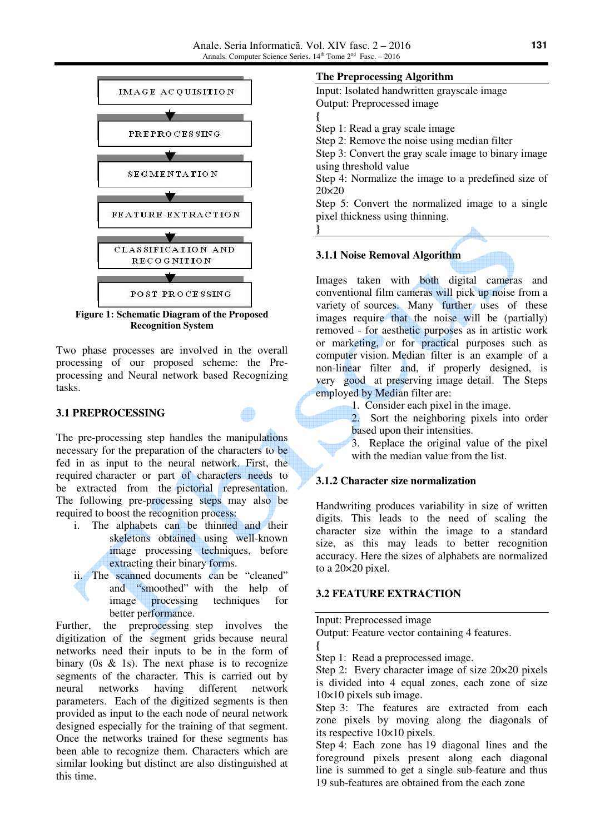**}** 



**Figure 1: Schematic Diagram of the Proposed Recognition System**

Two phase processes are involved in the overall processing of our proposed scheme: the Preprocessing and Neural network based Recognizing tasks.

### **3.1 PREPROCESSING**

The pre-processing step handles the manipulations necessary for the preparation of the characters to be fed in as input to the neural network. First, the required character or part of characters needs to be extracted from the pictorial representation. The following pre-processing steps may also be required to boost the recognition process:

- i. The alphabets can be thinned and their skeletons obtained using well-known image processing techniques, before extracting their binary forms.
- ii. The scanned documents can be "cleaned" and "smoothed" with the help of image processing techniques for better performance.

Further, the preprocessing step involves the digitization of the segment grids because neural networks need their inputs to be in the form of binary (0s  $\&$  1s). The next phase is to recognize segments of the character. This is carried out by neural networks having different network parameters. Each of the digitized segments is then provided as input to the each node of neural network designed especially for the training of that segment. Once the networks trained for these segments has been able to recognize them. Characters which are similar looking but distinct are also distinguished at this time.

### **The Preprocessing Algorithm**

Input: Isolated handwritten grayscale image Output: Preprocessed image **{** 

Step 1: Read a gray scale image

Step 2: Remove the noise using median filter

Step 3: Convert the gray scale image to binary image using threshold value

Step 4: Normalize the image to a predefined size of 20×20

Step 5: Convert the normalized image to a single pixel thickness using thinning.

## **3.1.1 Noise Removal Algorithm**

Images taken with both digital cameras and conventional film cameras will pick up noise from a variety of sources. Many further uses of these images require that the noise will be (partially) removed - for aesthetic purposes as in artistic work or marketing, or for practical purposes such as computer vision. Median filter is an example of a non-linear filter and, if properly designed, is very good at preserving image detail. The Steps employed by Median filter are:

1. Consider each pixel in the image.

2. Sort the neighboring pixels into order based upon their intensities.

3. Replace the original value of the pixel with the median value from the list.

### **3.1.2 Character size normalization**

Handwriting produces variability in size of written digits. This leads to the need of scaling the character size within the image to a standard size, as this may leads to better recognition accuracy. Here the sizes of alphabets are normalized to a 20×20 pixel.

### **3.2 FEATURE EXTRACTION**

Input: Preprocessed image

Output: Feature vector containing 4 features.

**{**  Step 1: Read a preprocessed image.

Step 2: Every character image of size  $20 \times 20$  pixels is divided into 4 equal zones, each zone of size  $10\times10$  pixels sub image.

Step 3: The features are extracted from each zone pixels by moving along the diagonals of its respective 10×10 pixels.

Step 4: Each zone has 19 diagonal lines and the foreground pixels present along each diagonal line is summed to get a single sub-feature and thus 19 sub-features are obtained from the each zone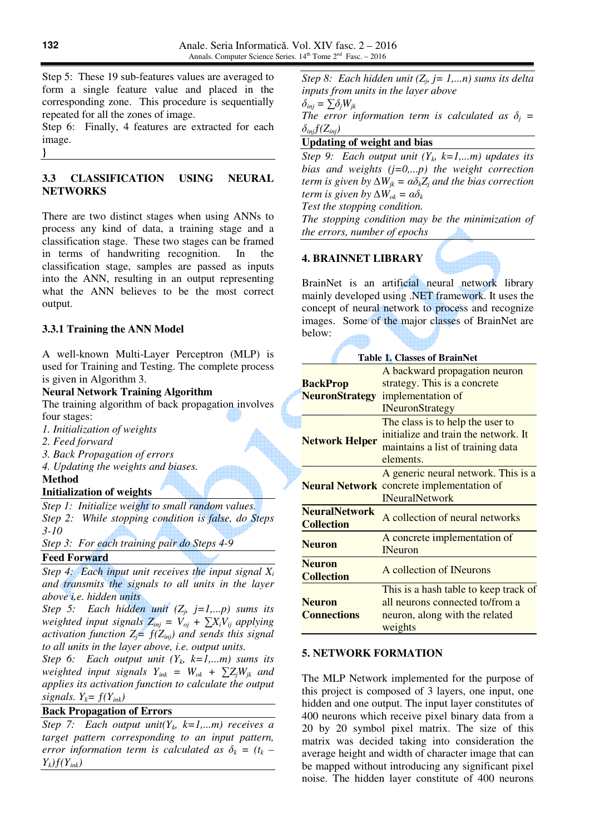Step 5: These 19 sub-features values are averaged to form a single feature value and placed in the corresponding zone. This procedure is sequentially repeated for all the zones of image.

Step 6: Finally, 4 features are extracted for each image.

**}** 

## **3.3 CLASSIFICATION USING NEURAL NETWORKS**

There are two distinct stages when using ANNs to process any kind of data, a training stage and a classification stage. These two stages can be framed in terms of handwriting recognition. In the classification stage, samples are passed as inputs into the ANN, resulting in an output representing what the ANN believes to be the most correct output.

# **3.3.1 Training the ANN Model**

A well-known Multi-Layer Perceptron (MLP) is used for Training and Testing. The complete process is given in Algorithm 3.

# **Neural Network Training Algorithm**

The training algorithm of back propagation involves four stages:

- *1. Initialization of weights*
- *2. Feed forward*
- *3. Back Propagation of errors*
- *4. Updating the weights and biases.*

# **Method**

# **Initialization of weights**

*Step 1: Initialize weight to small random values. Step 2: While stopping condition is false, do Steps 3-10* 

*Step 3: For each training pair do Steps 4-9*  <u>a shekara ta 1979 na ma</u>

## **Feed Forward**

*Step 4: Each input unit receives the input signal X<sup>i</sup> and transmits the signals to all units in the layer above i.e. hidden units* 

*Step 5: Each hidden unit* ( $Z_j$ , *j*=1,...*p*) sums its *weighted input signals*  $Z_{inj} = V_{oj} + \sum X_i V_{ij}$  *applying activation function*  $Z_i = f(Z_{inj})$  *and sends this signal to all units in the layer above, i.e. output units.* 

*Step 6: Each output unit*  $(Y_k, k=1,...m)$  *sums its weighted input signals*  $Y_{ink} = W_{ok} + \sum Z_i W_{ik}$  and *applies its activation function to calculate the output signals.*  $Y_k = f(Y_{ink})$ 

## **Back Propagation of Errors**

*Step 7: Each output unit*( $Y_k$ ,  $k=1,...m$ ) receives a *target pattern corresponding to an input pattern, error information term is calculated as*  $\delta_k = (t_k - t_k)$ *Yk)ƒ(Yink)* 

*Step 8: Each hidden unit* ( $Z_j$ , *j* = 1,...*n*) sums its delta *inputs from units in the layer above*  δ*inj =* ∑δ*jWjk The error information term is calculated as*  $\delta_j$  =  $\delta_{inj} f(Z_{inj})$ 

# **Updating of weight and bias**

*Step 9: Each output unit*  $(Y_k, k=1,...m)$  *updates its bias and weights (j=0,...p) the weight correction term is given by*  $\Delta W_{jk} = \alpha \delta_k Z_j$  *and the bias correction term is given by*  $\Delta W_{ok} = \alpha \delta_k$ *Test the stopping condition.* 

*The stopping condition may be the minimization of the errors, number of epochs* 

# **4. BRAINNET LIBRARY**

BrainNet is an artificial neural network library mainly developed using .NET framework. It uses the concept of neural network to process and recognize images. Some of the major classes of BrainNet are below:

| <b>Table 1. Classes of BrainNet</b>       |                                                                                                                            |  |  |  |
|-------------------------------------------|----------------------------------------------------------------------------------------------------------------------------|--|--|--|
| <b>BackProp</b><br><b>NeuronStrategy</b>  | A backward propagation neuron<br>strategy. This is a concrete<br>implementation of<br><b>INeuronStrategy</b>               |  |  |  |
| <b>Network Helper</b>                     | The class is to help the user to<br>initialize and train the network. It<br>maintains a list of training data<br>elements. |  |  |  |
|                                           | A generic neural network. This is a<br><b>Neural Network</b> concrete implementation of<br><b>INeuralNetwork</b>           |  |  |  |
| <b>NeuralNetwork</b><br><b>Collection</b> | A collection of neural networks                                                                                            |  |  |  |
| <b>Neuron</b>                             | A concrete implementation of<br><b>INeuron</b>                                                                             |  |  |  |
| <b>Neuron</b><br><b>Collection</b>        | A collection of INeurons                                                                                                   |  |  |  |
| <b>Neuron</b><br><b>Connections</b>       | This is a hash table to keep track of<br>all neurons connected to/from a<br>neuron, along with the related<br>weights      |  |  |  |

## **5. NETWORK FORMATION**

The MLP Network implemented for the purpose of this project is composed of 3 layers, one input, one hidden and one output. The input layer constitutes of 400 neurons which receive pixel binary data from a 20 by 20 symbol pixel matrix. The size of this matrix was decided taking into consideration the average height and width of character image that can be mapped without introducing any significant pixel noise. The hidden layer constitute of 400 neurons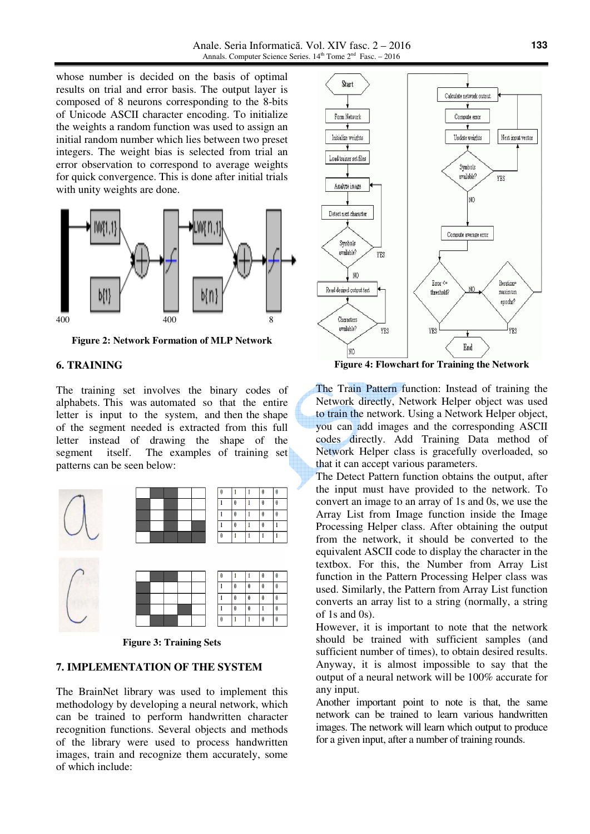Anale. Seria Informatică. Vol. XIV fasc. 2 – 2016 Annals. Computer Science Series. 14<sup>th</sup> Tome 2<sup>nd</sup> Fasc. - 2016

whose number is decided on the basis of optimal results on trial and error basis. The output layer is composed of 8 neurons corresponding to the 8-bits of Unicode ASCII character encoding. To initialize the weights a random function was used to assign an initial random number which lies between two preset integers. The weight bias is selected from trial an error observation to correspond to average weights for quick convergence. This is done after initial trials with unity weights are done.



**Figure 2: Network Formation of MLP Network** 

### **6. TRAINING**

The training set involves the binary codes of alphabets. This was automated so that the entire letter is input to the system, and then the shape of the segment needed is extracted from this full letter instead of drawing the shape of the segment itself. The examples of training set patterns can be seen below:



**Figure 3: Training Sets** 

#### **7. IMPLEMENTATION OF THE SYSTEM**

The BrainNet library was used to implement this methodology by developing a neural network, which can be trained to perform handwritten character recognition functions. Several objects and methods of the library were used to process handwritten images, train and recognize them accurately, some of which include:



**Figure 4: Flowchart for Training the Network**

The Train Pattern function: Instead of training the Network directly, Network Helper object was used to train the network. Using a Network Helper object, you can add images and the corresponding ASCII codes directly. Add Training Data method of Network Helper class is gracefully overloaded, so that it can accept various parameters.

The Detect Pattern function obtains the output, after the input must have provided to the network. To convert an image to an array of 1s and 0s, we use the Array List from Image function inside the Image Processing Helper class. After obtaining the output from the network, it should be converted to the equivalent ASCII code to display the character in the textbox. For this, the Number from Array List function in the Pattern Processing Helper class was used. Similarly, the Pattern from Array List function converts an array list to a string (normally, a string of 1s and  $(0s)$ .

However, it is important to note that the network should be trained with sufficient samples (and sufficient number of times), to obtain desired results. Anyway, it is almost impossible to say that the output of a neural network will be 100% accurate for any input.

Another important point to note is that, the same network can be trained to learn various handwritten images. The network will learn which output to produce for a given input, after a number of training rounds.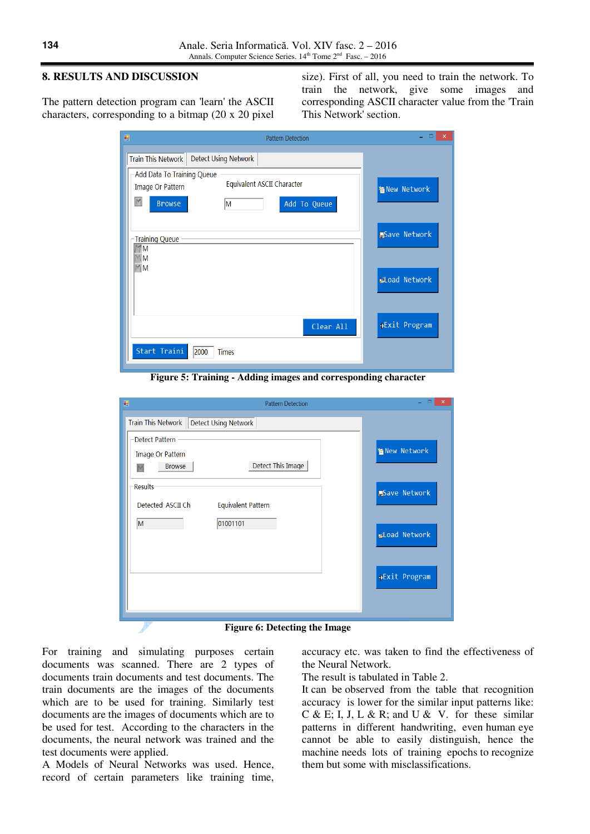## **8. RESULTS AND DISCUSSION**

The pattern detection program can 'learn' the ASCII characters, corresponding to a bitmap (20 x 20 pixel size). First of all, you need to train the network. To train the network, give some images and corresponding ASCII character value from the 'Train This Network' section.

| 硘<br><b>Pattern Detection</b>                                                                                            | ×                    |
|--------------------------------------------------------------------------------------------------------------------------|----------------------|
| Train This Network<br><b>Detect Using Network</b>                                                                        |                      |
| -Add Data To Training Queue<br>Equivalent ASCII Character<br>Image Or Pattern<br>M<br><b>Browse</b><br>Add To Queue<br>M | 省 New Network        |
| <b>Training Queue</b><br>M<br>M                                                                                          | <b>PSave Network</b> |
| $M$ M                                                                                                                    | <b>Eload Network</b> |
| Clear All                                                                                                                | →Exit Program        |
| Start Traini<br>2000<br><b>Times</b>                                                                                     |                      |

**Figure 5: Training - Adding images and corresponding character**

| 轀<br><b>Pattern Detection</b>                                                        | $\mathsf{x}$         |
|--------------------------------------------------------------------------------------|----------------------|
| Train This Network   Detect Using Network                                            |                      |
| <b>Detect Pattern</b><br>Image Or Pattern<br>Detect This Image<br><b>Browse</b><br>M | 省 New Network        |
| <b>Results</b><br>Detected ASCII Ch<br><b>Equivalent Pattern</b>                     | <b>PSave Network</b> |
| 01001101<br>M                                                                        | Load Network         |
|                                                                                      | →Exit Program        |
|                                                                                      |                      |

**Figure 6: Detecting the Image** 

For training and simulating purposes certain documents was scanned. There are 2 types of documents train documents and test documents. The train documents are the images of the documents which are to be used for training. Similarly test documents are the images of documents which are to be used for test. According to the characters in the documents, the neural network was trained and the test documents were applied.

A Models of Neural Networks was used. Hence, record of certain parameters like training time, accuracy etc. was taken to find the effectiveness of the Neural Network.

The result is tabulated in Table 2.

It can be observed from the table that recognition accuracy is lower for the similar input patterns like: C & E; I, J, L & R; and U & V. for these similar patterns in different handwriting, even human eye cannot be able to easily distinguish, hence the machine needs lots of training epochs to recognize them but some with misclassifications.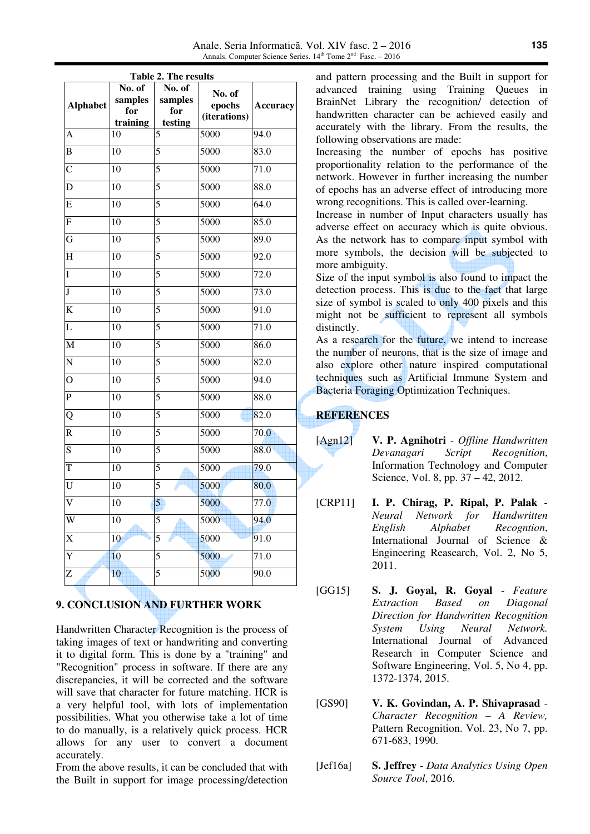| Table 2. The results    |                                      |                                     |                                  |                 |  |  |
|-------------------------|--------------------------------------|-------------------------------------|----------------------------------|-----------------|--|--|
| <b>Alphabet</b>         | No. of<br>samples<br>for<br>training | No. of<br>samples<br>for<br>testing | No. of<br>epochs<br>(iterations) | <b>Accuracy</b> |  |  |
| A                       | 10                                   | 5                                   | $\frac{1}{5000}$                 | 94.0            |  |  |
| B                       | 10                                   | 5                                   | 5000                             | 83.0            |  |  |
| $\overline{C}$          | 10                                   | 5                                   | 5000                             | 71.0            |  |  |
| D                       | 10                                   | 5                                   | 5000                             | 88.0            |  |  |
| E                       | 10                                   | 5                                   | 5000                             | 64.0            |  |  |
| $\overline{\mathrm{F}}$ | 10                                   | $\overline{5}$                      | 5000                             | 85.0            |  |  |
| $\overline{\mathrm{G}}$ | 10                                   | 5                                   | 5000                             | 89.0            |  |  |
| $\overline{\mathrm{H}}$ | 10                                   | 5                                   | 5000                             | 92.0            |  |  |
| Ī                       | 10                                   | 5                                   | 5000                             | 72.0            |  |  |
| $\overline{\mathbf{J}}$ | 10                                   | 5                                   | 5000                             | 73.0            |  |  |
| $\overline{\rm K}$      | 10                                   | 5                                   | 5000                             | 91.0            |  |  |
| L                       | 10                                   | 5                                   | $50\overline{00}$                | 71.0            |  |  |
| M                       | $\overline{10}$                      | 5                                   | 5000                             | 86.0            |  |  |
| N                       | 10                                   | 5                                   | 5000                             | 82.0            |  |  |
| $\overline{O}$          | 10                                   | 5                                   | 5000                             | 94.0            |  |  |
| $\overline{P}$          | 10                                   | 5                                   | 5000                             | 88.0            |  |  |
| Q                       | 10                                   | 5                                   | 5000                             | 82.0            |  |  |
| $\overline{\text{R}}$   | 10                                   | 5                                   | 5000                             | 70.0            |  |  |
| $\overline{S}$          | 10                                   | 5                                   | 5000                             | 88.0            |  |  |
| $\overline{\mathrm{T}}$ | 10                                   | 5                                   | 5000                             | 79.0            |  |  |
| U                       | 10                                   | 5                                   | 5000                             | 80.0            |  |  |
| $\overline{\rm v}$      | 10                                   | 5                                   | 5000                             | 77.0            |  |  |
| W                       | 10                                   | 5                                   | 5000                             | 94.0            |  |  |
| X                       | 10                                   | 5                                   | 5000                             | 91.0            |  |  |
| Y                       | 10                                   | 5                                   | 5000                             | 71.0            |  |  |
| Z                       | $\overline{10}$                      | 5                                   | 5000                             | 90.0            |  |  |

# **9. CONCLUSION AND FURTHER WORK**

Handwritten Character Recognition is the process of taking images of text or handwriting and converting it to digital form. This is done by a "training" and "Recognition" process in software. If there are any discrepancies, it will be corrected and the software will save that character for future matching. HCR is a very helpful tool, with lots of implementation possibilities. What you otherwise take a lot of time to do manually, is a relatively quick process. HCR allows for any user to convert a document accurately.

From the above results, it can be concluded that with the Built in support for image processing/detection

and pattern processing and the Built in support for advanced training using Training Queues in BrainNet Library the recognition/ detection of handwritten character can be achieved easily and accurately with the library. From the results, the following observations are made:

Increasing the number of epochs has positive proportionality relation to the performance of the network. However in further increasing the number of epochs has an adverse effect of introducing more wrong recognitions. This is called over-learning.

Increase in number of Input characters usually has adverse effect on accuracy which is quite obvious. As the network has to compare input symbol with more symbols, the decision will be subjected to more ambiguity.

Size of the input symbol is also found to impact the detection process. This is due to the fact that large size of symbol is scaled to only 400 pixels and this might not be sufficient to represent all symbols distinctly.

As a research for the future, we intend to increase the number of neurons, that is the size of image and also explore other nature inspired computational techniques such as Artificial Immune System and Bacteria Foraging Optimization Techniques.

# **REFERENCES**

- [Agn12] **V. P. Agnihotri** *Offline Handwritten Devanagari Script Recognition*, Information Technology and Computer Science, Vol. 8, pp. 37 – 42, 2012.
- [CRP11] **I. P. Chirag, P. Ripal, P. Palak** *Neural Network for Handwritten English Alphabet Recogntion*, International Journal of Science & Engineering Reasearch, Vol. 2, No 5, 2011.
- [GG15] **S. J. Goyal, R. Goyal** *Feature Extraction Based on Diagonal Direction for Handwritten Recognition System Using Neural Network.*  International Journal of Advanced Research in Computer Science and Software Engineering, Vol. 5, No 4, pp. 1372-1374, 2015.
- [GS90] **V. K. Govindan, A. P. Shivaprasad** *Character Recognition – A Review,*  Pattern Recognition. Vol. 23, No 7, pp. 671-683, 1990.
- [Jef16a] **S. Jeffrey** *Data Analytics Using Open Source Tool*, 2016.